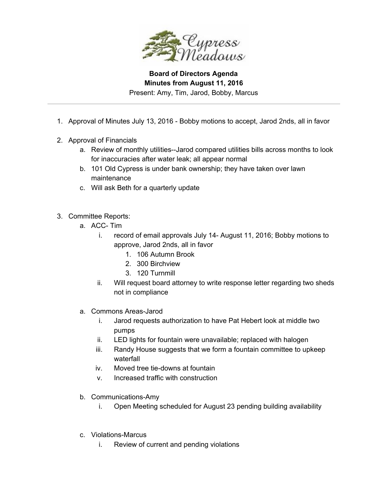

Present: Amy, Tim, Jarod, Bobby, Marcus

- 1. Approval of Minutes July 13, 2016 Bobby motions to accept, Jarod 2nds, all in favor
- 2. Approval of Financials
	- a. Review of monthly utilities--Jarod compared utilities bills across months to look for inaccuracies after water leak; all appear normal
	- b. 101 Old Cypress is under bank ownership; they have taken over lawn maintenance
	- c. Will ask Beth for a quarterly update
- 3. Committee Reports:
	- a. ACC- Tim
		- i. record of email approvals July 14- August 11, 2016; Bobby motions to approve, Jarod 2nds, all in favor
			- 1. 106 Autumn Brook
			- 2. 300 Birchview
			- 3. 120 Turnmill
		- ii. Will request board attorney to write response letter regarding two sheds not in compliance
	- a. Commons Areas-Jarod
		- i. Jarod requests authorization to have Pat Hebert look at middle two pumps
		- ii. LED lights for fountain were unavailable; replaced with halogen
		- iii. Randy House suggests that we form a fountain committee to upkeep waterfall
		- iv. Moved tree tie-downs at fountain
		- v. Increased traffic with construction
	- b. Communications-Amy
		- i. Open Meeting scheduled for August 23 pending building availability
	- c. Violations-Marcus
		- i. Review of current and pending violations